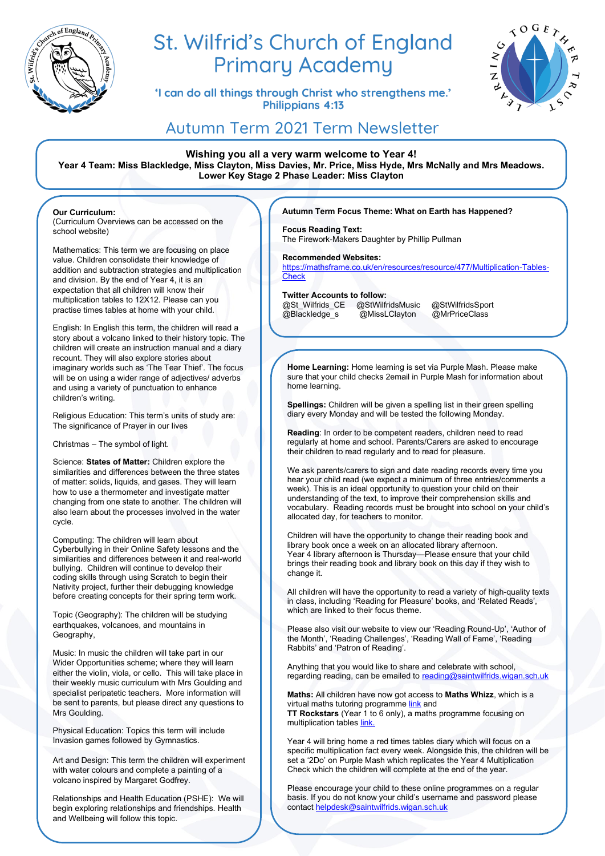

# St. Wilfrid's Church of England **Primary Academy**

'I can do all things through Christ who strengthens me.' **Philippians 4:13** 



# Autumn Term 2021 Term Newsletter

**Wishing you all a very warm welcome to Year 4! Year 4 Team: Miss Blackledge, Miss Clayton, Miss Davies, Mr. Price, Miss Hyde, Mrs McNally and Mrs Meadows. Lower Key Stage 2 Phase Leader: Miss Clayton**

**Our Curriculum:**

(Curriculum Overviews can be accessed on the school website)

Mathematics: This term we are focusing on place value. Children consolidate their knowledge of addition and subtraction strategies and multiplication and division. By the end of Year 4, it is an expectation that all children will know their multiplication tables to 12X12. Please can you practise times tables at home with your child.

English: In English this term, the children will read a story about a volcano linked to their history topic. The children will create an instruction manual and a diary recount. They will also explore stories about imaginary worlds such as 'The Tear Thief'. The focus will be on using a wider range of adjectives/ adverbs and using a variety of punctuation to enhance children's writing.

Religious Education: This term's units of study are: The significance of Prayer in our lives

Christmas – The symbol of light.

Science: **States of Matter:** Children explore the similarities and differences between the three states of matter: solids, liquids, and gases. They will learn how to use a thermometer and investigate matter changing from one state to another. The children will also learn about the processes involved in the water cycle.

Computing: The children will learn about Cyberbullying in their Online Safety lessons and the similarities and differences between it and real-world bullying. Children will continue to develop their coding skills through using Scratch to begin their Nativity project, further their debugging knowledge before creating concepts for their spring term work.

Topic (Geography): The children will be studying earthquakes, volcanoes, and mountains in Geography,

Music: In music the children will take part in our Wider Opportunities scheme; where they will learn either the violin, viola, or cello. This will take place in their weekly music curriculum with Mrs Goulding and specialist peripatetic teachers. More information will be sent to parents, but please direct any questions to Mrs Goulding.

Physical Education: Topics this term will include Invasion games followed by Gymnastics.

Art and Design: This term the children will experiment with water colours and complete a painting of a volcano inspired by Margaret Godfrey.

Relationships and Health Education (PSHE): We will begin exploring relationships and friendships. Health and Wellbeing will follow this topic.

French: The topics will include pets, colours and

months of the year.

### **Autumn Term Focus Theme: What on Earth has Happened?**

**Focus Reading Text:**  The Firework-Makers Daughter by Phillip Pullman

#### **Recommended Websites:**

[https://mathsframe.co.uk/en/resources/resource/477/Multiplication-Tables-](https://mathsframe.co.uk/en/resources/resource/477/Multiplication-Tables-Check)**[Check](https://mathsframe.co.uk/en/resources/resource/477/Multiplication-Tables-Check)** 

**Twitter Accounts to follow:**  @St\_Wilfrids\_CE @StWilfridsMusic @StWilfridsSport

@Blackledge\_s @MissLClayton @MrPriceClass

**Home Learning:** Home learning is set via Purple Mash. Please make sure that your child checks 2email in Purple Mash for information about home learning.

**Spellings:** Children will be given a spelling list in their green spelling diary every Monday and will be tested the following Monday.

**Reading**: In order to be competent readers, children need to read regularly at home and school. Parents/Carers are asked to encourage their children to read regularly and to read for pleasure.

We ask parents/carers to sign and date reading records every time you hear your child read (we expect a minimum of three entries/comments a week). This is an ideal opportunity to question your child on their understanding of the text, to improve their comprehension skills and vocabulary. Reading records must be brought into school on your child's allocated day, for teachers to monitor.

Children will have the opportunity to change their reading book and library book once a week on an allocated library afternoon. Year 4 library afternoon is Thursday—Please ensure that your child brings their reading book and library book on this day if they wish to change it.

All children will have the opportunity to read a variety of high-quality texts in class, including 'Reading for Pleasure' books, and 'Related Reads', which are linked to their focus theme.

Please also visit our website to view our 'Reading Round-Up', 'Author of the Month', 'Reading Challenges', 'Reading Wall of Fame', 'Reading Rabbits' and 'Patron of Reading'.

Anything that you would like to share and celebrate with school, regarding reading, can be emailed t[o reading@saintwilfrids.wigan.sch.uk](mailto:reading@saintwilfrids.wigan.sch.uk)

**Maths:** All children have now got access to **Maths Whizz**, which is a virtual maths tutoring programm[e link](https://www.whizz.com/login/) and **TT Rockstars** (Year 1 to 6 only), a maths programme focusing on multiplication table[s link.](https://play.ttrockstars.com/auth/school/student)

Year 4 will bring home a red times tables diary which will focus on a specific multiplication fact every week. Alongside this, the children will be set a '2Do' on Purple Mash which replicates the Year 4 Multiplication Check which the children will complete at the end of the year.

Please encourage your child to these online programmes on a regular basis. If you do not know your child's username and password please contact [helpdesk@saintwilfrids.wigan.sch.uk](mailto:helpdesk@saintwilfrids.wigan.sch.uk)